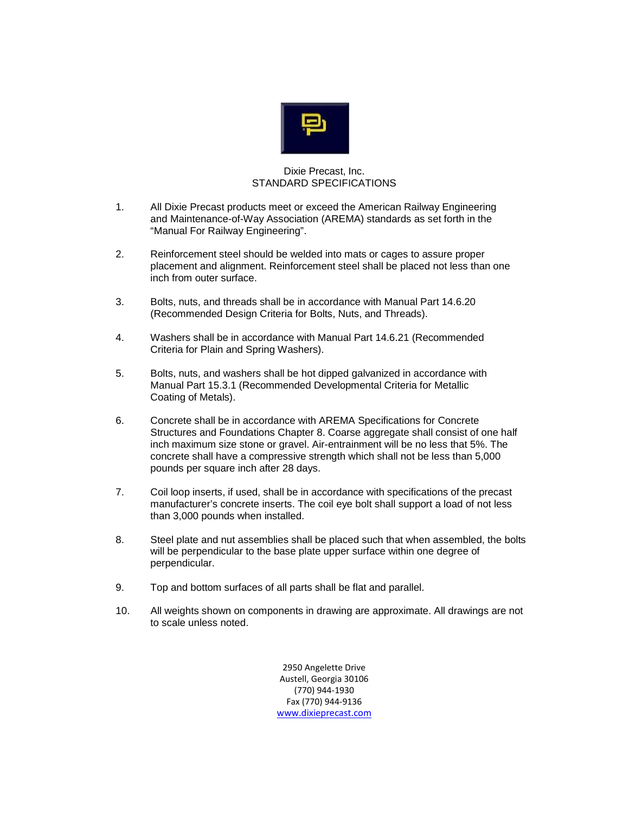

## Dixie Precast, Inc. STANDARD SPECIFICATIONS

- 1. All Dixie Precast products meet or exceed the American Railway Engineering and Maintenance-of-Way Association (AREMA) standards as set forth in the "Manual For Railway Engineering".
- 2. Reinforcement steel should be welded into mats or cages to assure proper placement and alignment. Reinforcement steel shall be placed not less than one inch from outer surface.
- 3. Bolts, nuts, and threads shall be in accordance with Manual Part 14.6.20 (Recommended Design Criteria for Bolts, Nuts, and Threads).
- 4. Washers shall be in accordance with Manual Part 14.6.21 (Recommended Criteria for Plain and Spring Washers).
- 5. Bolts, nuts, and washers shall be hot dipped galvanized in accordance with Manual Part 15.3.1 (Recommended Developmental Criteria for Metallic Coating of Metals).
- 6. Concrete shall be in accordance with AREMA Specifications for Concrete Structures and Foundations Chapter 8. Coarse aggregate shall consist of one half inch maximum size stone or gravel. Air-entrainment will be no less that 5%. The concrete shall have a compressive strength which shall not be less than 5,000 pounds per square inch after 28 days.
- 7. Coil loop inserts, if used, shall be in accordance with specifications of the precast manufacturer's concrete inserts. The coil eye bolt shall support a load of not less than 3,000 pounds when installed.
- 8. Steel plate and nut assemblies shall be placed such that when assembled, the bolts will be perpendicular to the base plate upper surface within one degree of perpendicular.
- 9. Top and bottom surfaces of all parts shall be flat and parallel.
- 10. All weights shown on components in drawing are approximate. All drawings are not to scale unless noted.

2950 Angelette Drive Austell, Georgia 30106 (770) 944-1930 Fax (770) 944-9136 www.dixieprecast.com